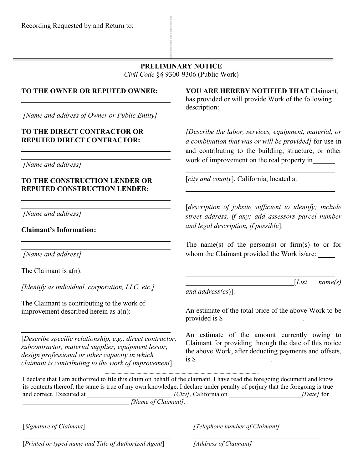## **PRELIMINARY NOTICE** *Civil Code* §§ 9300-9306 (Public Work)

## **TO THE OWNER OR REPUTED OWNER:**

*[Name and address of Owner or Public Entity]*

#### **TO THE DIRECT CONTRACTOR OR REPUTED DIRECT CONTRACTOR:**

*[Name and address]*

## **TO THE CONSTRUCTION LENDER OR REPUTED CONSTRUCTION LENDER:**

*[Name and address]*

**Claimant's Information:**

*[Name and address]*

The Claimant is  $a(n)$ :

*[Identify as individual, corporation, LLC, etc.]*

The Claimant is contributing to the work of improvement described herein as a(n):

[*Describe specific relationship, e.g., direct contractor, subcontractor, material supplier, equipment lessor, design professional or other capacity in which claimant is contributing to the work of improvement*].

**YOU ARE HEREBY NOTIFIED THAT** Claimant*,*  has provided or will provide Work of the following description:

*[Describe the labor, services, equipment, material, or a combination that was or will be provided]* for use in and contributing to the building, structure, or other work of improvement on the real property in

[*city and county*], California, located at

[*description of jobsite sufficient to identify; include street address, if any; add assessors parcel number and legal description, if possible*].

The name(s) of the person(s) or firm(s) to or for whom the Claimant provided the Work is/are:

*and address(es*)].

[*List name(s)* 

 $\overline{a}$ 

An estimate of the total price of the above Work to be provided is \$\_\_\_\_\_\_\_\_\_\_\_\_\_\_\_\_\_\_\_\_\_\_\_\_\_.

An estimate of the amount currently owing to Claimant for providing through the date of this notice the above Work, after deducting payments and offsets,  $\frac{1}{5}$  .

I declare that I am authorized to file this claim on behalf of the claimant. I have read the foregoing document and know its contents thereof; the same is true of my own knowledge. I declare under penalty of perjury that the foregoing is true and correct. Executed at *[City]*, California on *[City]*, California on *[Date]* for *[Name of Claimant]*.

[*Signature of Claimant*] *[Telephone number of Claimant]*

[*Printed or typed name and Title of Authorized Agent*] *[Address of Claimant]*